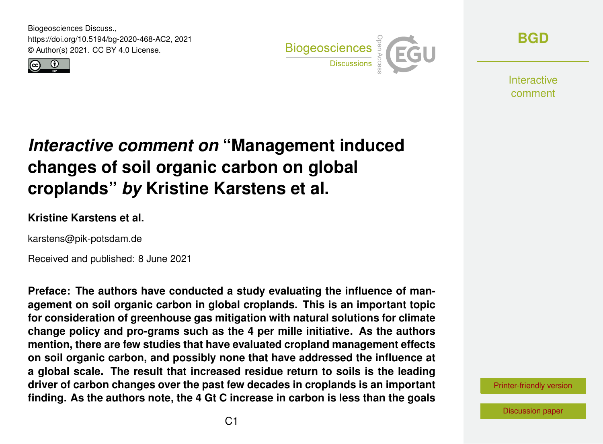Biogeosciences Discuss., https://doi.org/10.5194/bg-2020-468-AC2, 2021 © Author(s) 2021. CC BY 4.0 License.





**[BGD](https://bg.copernicus.org/preprints/)**

**Interactive** comment

# *Interactive comment on* **"Management induced changes of soil organic carbon on global croplands"** *by* **Kristine Karstens et al.**

#### **Kristine Karstens et al.**

karstens@pik-potsdam.de

Received and published: 8 June 2021

**Preface: The authors have conducted a study evaluating the influence of management on soil organic carbon in global croplands. This is an important topic for consideration of greenhouse gas mitigation with natural solutions for climate change policy and pro-grams such as the 4 per mille initiative. As the authors mention, there are few studies that have evaluated cropland management effects on soil organic carbon, and possibly none that have addressed the influence at a global scale. The result that increased residue return to soils is the leading driver of carbon changes over the past few decades in croplands is an important finding. As the authors note, the 4 Gt C increase in carbon is less than the goals**

[Printer-friendly version](https://bg.copernicus.org/preprints/bg-2020-468/bg-2020-468-AC2-print.pdf)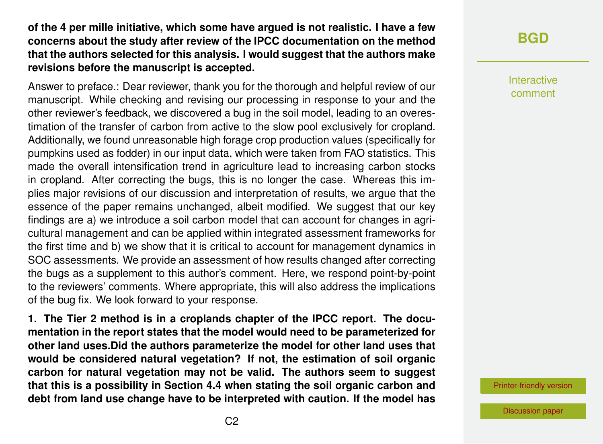#### **of the 4 per mille initiative, which some have argued is not realistic. I have a few concerns about the study after review of the IPCC documentation on the method that the authors selected for this analysis. I would suggest that the authors make revisions before the manuscript is accepted.**

Answer to preface.: Dear reviewer, thank you for the thorough and helpful review of our manuscript. While checking and revising our processing in response to your and the other reviewer's feedback, we discovered a bug in the soil model, leading to an overestimation of the transfer of carbon from active to the slow pool exclusively for cropland. Additionally, we found unreasonable high forage crop production values (specifically for pumpkins used as fodder) in our input data, which were taken from FAO statistics. This made the overall intensification trend in agriculture lead to increasing carbon stocks in cropland. After correcting the bugs, this is no longer the case. Whereas this implies major revisions of our discussion and interpretation of results, we argue that the essence of the paper remains unchanged, albeit modified. We suggest that our key findings are a) we introduce a soil carbon model that can account for changes in agricultural management and can be applied within integrated assessment frameworks for the first time and b) we show that it is critical to account for management dynamics in SOC assessments. We provide an assessment of how results changed after correcting the bugs as a supplement to this author's comment. Here, we respond point-by-point to the reviewers' comments. Where appropriate, this will also address the implications of the bug fix. We look forward to your response.

**1. The Tier 2 method is in a croplands chapter of the IPCC report. The documentation in the report states that the model would need to be parameterized for other land uses.Did the authors parameterize the model for other land uses that would be considered natural vegetation? If not, the estimation of soil organic carbon for natural vegetation may not be valid. The authors seem to suggest that this is a possibility in Section 4.4 when stating the soil organic carbon and debt from land use change have to be interpreted with caution. If the model has**

#### **[BGD](https://bg.copernicus.org/preprints/)**

Interactive comment

[Printer-friendly version](https://bg.copernicus.org/preprints/bg-2020-468/bg-2020-468-AC2-print.pdf)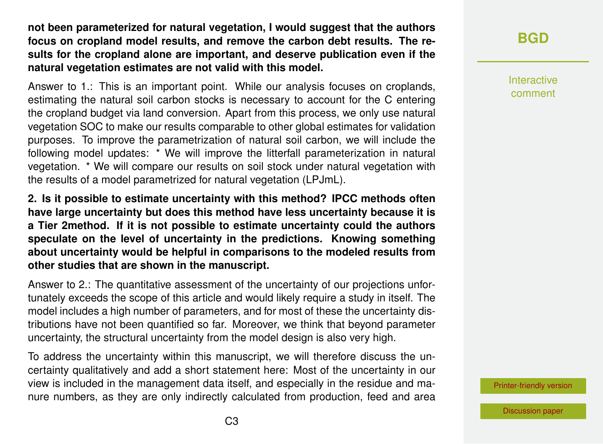**not been parameterized for natural vegetation, I would suggest that the authors focus on cropland model results, and remove the carbon debt results. The results for the cropland alone are important, and deserve publication even if the natural vegetation estimates are not valid with this model.**

Answer to 1.: This is an important point. While our analysis focuses on croplands, estimating the natural soil carbon stocks is necessary to account for the C entering the cropland budget via land conversion. Apart from this process, we only use natural vegetation SOC to make our results comparable to other global estimates for validation purposes. To improve the parametrization of natural soil carbon, we will include the following model updates: \* We will improve the litterfall parameterization in natural vegetation. \* We will compare our results on soil stock under natural vegetation with the results of a model parametrized for natural vegetation (LPJmL).

**2. Is it possible to estimate uncertainty with this method? IPCC methods often have large uncertainty but does this method have less uncertainty because it is a Tier 2method. If it is not possible to estimate uncertainty could the authors speculate on the level of uncertainty in the predictions. Knowing something about uncertainty would be helpful in comparisons to the modeled results from other studies that are shown in the manuscript.**

Answer to 2.: The quantitative assessment of the uncertainty of our projections unfortunately exceeds the scope of this article and would likely require a study in itself. The model includes a high number of parameters, and for most of these the uncertainty distributions have not been quantified so far. Moreover, we think that beyond parameter uncertainty, the structural uncertainty from the model design is also very high.

To address the uncertainty within this manuscript, we will therefore discuss the uncertainty qualitatively and add a short statement here: Most of the uncertainty in our view is included in the management data itself, and especially in the residue and manure numbers, as they are only indirectly calculated from production, feed and area Interactive comment

[Printer-friendly version](https://bg.copernicus.org/preprints/bg-2020-468/bg-2020-468-AC2-print.pdf)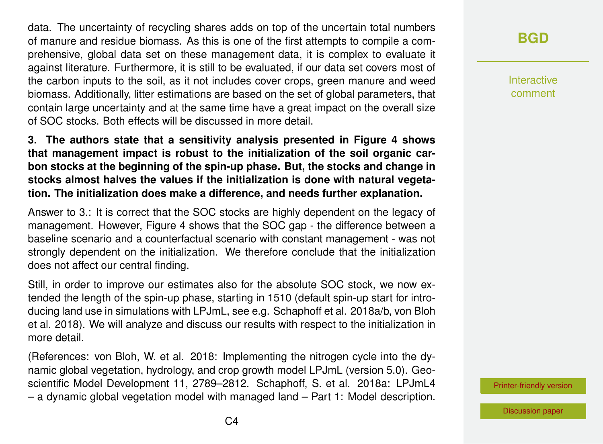data. The uncertainty of recycling shares adds on top of the uncertain total numbers of manure and residue biomass. As this is one of the first attempts to compile a comprehensive, global data set on these management data, it is complex to evaluate it against literature. Furthermore, it is still to be evaluated, if our data set covers most of the carbon inputs to the soil, as it not includes cover crops, green manure and weed biomass. Additionally, litter estimations are based on the set of global parameters, that contain large uncertainty and at the same time have a great impact on the overall size of SOC stocks. Both effects will be discussed in more detail.

**3. The authors state that a sensitivity analysis presented in Figure 4 shows that management impact is robust to the initialization of the soil organic carbon stocks at the beginning of the spin-up phase. But, the stocks and change in stocks almost halves the values if the initialization is done with natural vegetation. The initialization does make a difference, and needs further explanation.**

Answer to 3.: It is correct that the SOC stocks are highly dependent on the legacy of management. However, Figure 4 shows that the SOC gap - the difference between a baseline scenario and a counterfactual scenario with constant management - was not strongly dependent on the initialization. We therefore conclude that the initialization does not affect our central finding.

Still, in order to improve our estimates also for the absolute SOC stock, we now extended the length of the spin-up phase, starting in 1510 (default spin-up start for introducing land use in simulations with LPJmL, see e.g. Schaphoff et al. 2018a/b, von Bloh et al. 2018). We will analyze and discuss our results with respect to the initialization in more detail.

(References: von Bloh, W. et al. 2018: Implementing the nitrogen cycle into the dynamic global vegetation, hydrology, and crop growth model LPJmL (version 5.0). Geoscientific Model Development 11, 2789–2812. Schaphoff, S. et al. 2018a: LPJmL4 – a dynamic global vegetation model with managed land – Part 1: Model description.

## **[BGD](https://bg.copernicus.org/preprints/)**

Interactive comment

[Printer-friendly version](https://bg.copernicus.org/preprints/bg-2020-468/bg-2020-468-AC2-print.pdf)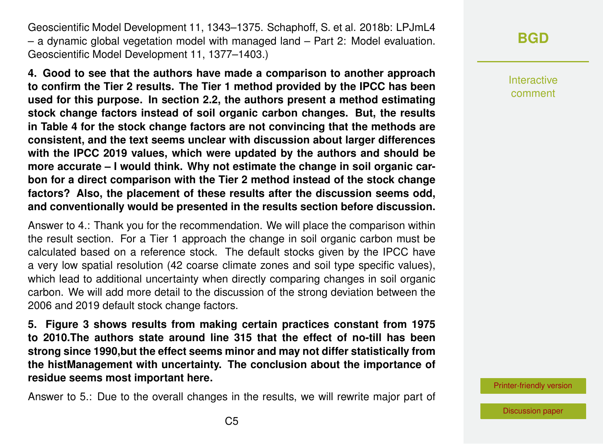Geoscientific Model Development 11, 1343–1375. Schaphoff, S. et al. 2018b: LPJmL4 – a dynamic global vegetation model with managed land – Part 2: Model evaluation. Geoscientific Model Development 11, 1377–1403.)

**4. Good to see that the authors have made a comparison to another approach to confirm the Tier 2 results. The Tier 1 method provided by the IPCC has been used for this purpose. In section 2.2, the authors present a method estimating stock change factors instead of soil organic carbon changes. But, the results in Table 4 for the stock change factors are not convincing that the methods are consistent, and the text seems unclear with discussion about larger differences with the IPCC 2019 values, which were updated by the authors and should be more accurate – I would think. Why not estimate the change in soil organic carbon for a direct comparison with the Tier 2 method instead of the stock change factors? Also, the placement of these results after the discussion seems odd, and conventionally would be presented in the results section before discussion.**

Answer to 4.: Thank you for the recommendation. We will place the comparison within the result section. For a Tier 1 approach the change in soil organic carbon must be calculated based on a reference stock. The default stocks given by the IPCC have a very low spatial resolution (42 coarse climate zones and soil type specific values), which lead to additional uncertainty when directly comparing changes in soil organic carbon. We will add more detail to the discussion of the strong deviation between the 2006 and 2019 default stock change factors.

**5. Figure 3 shows results from making certain practices constant from 1975 to 2010.The authors state around line 315 that the effect of no-till has been strong since 1990,but the effect seems minor and may not differ statistically from the histManagement with uncertainty. The conclusion about the importance of residue seems most important here.**

Answer to 5.: Due to the overall changes in the results, we will rewrite major part of

### **[BGD](https://bg.copernicus.org/preprints/)**

Interactive comment

[Printer-friendly version](https://bg.copernicus.org/preprints/bg-2020-468/bg-2020-468-AC2-print.pdf)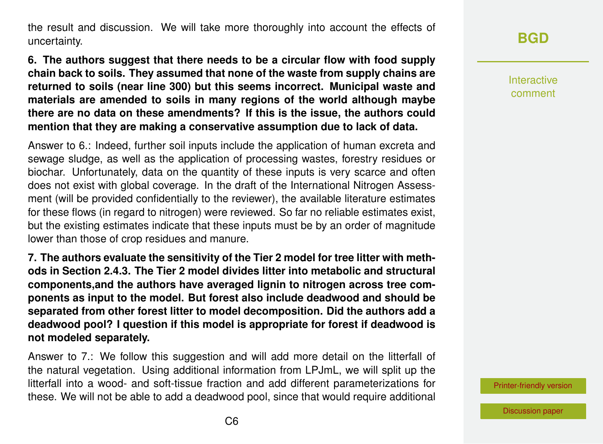the result and discussion. We will take more thoroughly into account the effects of uncertainty.

**6. The authors suggest that there needs to be a circular flow with food supply chain back to soils. They assumed that none of the waste from supply chains are returned to soils (near line 300) but this seems incorrect. Municipal waste and materials are amended to soils in many regions of the world although maybe there are no data on these amendments? If this is the issue, the authors could mention that they are making a conservative assumption due to lack of data.**

Answer to 6.: Indeed, further soil inputs include the application of human excreta and sewage sludge, as well as the application of processing wastes, forestry residues or biochar. Unfortunately, data on the quantity of these inputs is very scarce and often does not exist with global coverage. In the draft of the International Nitrogen Assessment (will be provided confidentially to the reviewer), the available literature estimates for these flows (in regard to nitrogen) were reviewed. So far no reliable estimates exist, but the existing estimates indicate that these inputs must be by an order of magnitude lower than those of crop residues and manure.

**7. The authors evaluate the sensitivity of the Tier 2 model for tree litter with methods in Section 2.4.3. The Tier 2 model divides litter into metabolic and structural components,and the authors have averaged lignin to nitrogen across tree components as input to the model. But forest also include deadwood and should be separated from other forest litter to model decomposition. Did the authors add a deadwood pool? I question if this model is appropriate for forest if deadwood is not modeled separately.**

Answer to 7.: We follow this suggestion and will add more detail on the litterfall of the natural vegetation. Using additional information from LPJmL, we will split up the litterfall into a wood- and soft-tissue fraction and add different parameterizations for these. We will not be able to add a deadwood pool, since that would require additional

## **[BGD](https://bg.copernicus.org/preprints/)**

Interactive comment

[Printer-friendly version](https://bg.copernicus.org/preprints/bg-2020-468/bg-2020-468-AC2-print.pdf)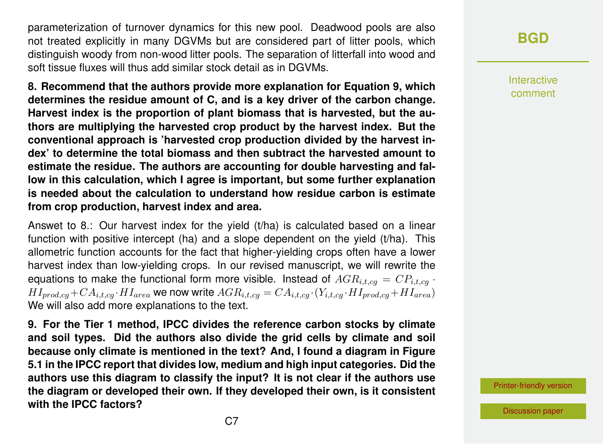parameterization of turnover dynamics for this new pool. Deadwood pools are also not treated explicitly in many DGVMs but are considered part of litter pools, which distinguish woody from non-wood litter pools. The separation of litterfall into wood and soft tissue fluxes will thus add similar stock detail as in DGVMs.

**8. Recommend that the authors provide more explanation for Equation 9, which determines the residue amount of C, and is a key driver of the carbon change. Harvest index is the proportion of plant biomass that is harvested, but the authors are multiplying the harvested crop product by the harvest index. But the conventional approach is 'harvested crop production divided by the harvest index' to determine the total biomass and then subtract the harvested amount to estimate the residue. The authors are accounting for double harvesting and fallow in this calculation, which I agree is important, but some further explanation is needed about the calculation to understand how residue carbon is estimate from crop production, harvest index and area.**

Answet to 8.: Our harvest index for the yield (t/ha) is calculated based on a linear function with positive intercept (ha) and a slope dependent on the yield (t/ha). This allometric function accounts for the fact that higher-yielding crops often have a lower harvest index than low-yielding crops. In our revised manuscript, we will rewrite the equations to make the functional form more visible. Instead of  $AGR_{i,t,cg} = CP_{i,t,cg}$ .  $HI_{mrd,ca} + CA_{i.t,ca} \cdot HI_{area}$  we now write  $AGR_{i.t,ca} = CA_{i.t,ca} \cdot (Y_{i.t,ca} \cdot HI_{prod,ca} + HI_{area})$ We will also add more explanations to the text.

**9. For the Tier 1 method, IPCC divides the reference carbon stocks by climate and soil types. Did the authors also divide the grid cells by climate and soil because only climate is mentioned in the text? And, I found a diagram in Figure 5.1 in the IPCC report that divides low, medium and high input categories. Did the authors use this diagram to classify the input? It is not clear if the authors use the diagram or developed their own. If they developed their own, is it consistent with the IPCC factors?**

### **[BGD](https://bg.copernicus.org/preprints/)**

Interactive comment

[Printer-friendly version](https://bg.copernicus.org/preprints/bg-2020-468/bg-2020-468-AC2-print.pdf)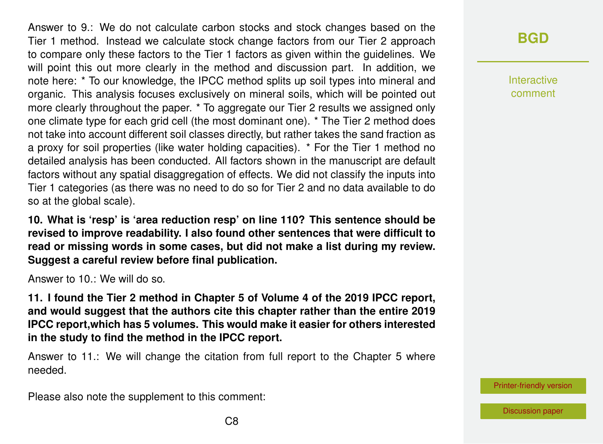Answer to 9.: We do not calculate carbon stocks and stock changes based on the Tier 1 method. Instead we calculate stock change factors from our Tier 2 approach to compare only these factors to the Tier 1 factors as given within the guidelines. We will point this out more clearly in the method and discussion part. In addition, we note here: \* To our knowledge, the IPCC method splits up soil types into mineral and organic. This analysis focuses exclusively on mineral soils, which will be pointed out more clearly throughout the paper. \* To aggregate our Tier 2 results we assigned only one climate type for each grid cell (the most dominant one). \* The Tier 2 method does not take into account different soil classes directly, but rather takes the sand fraction as a proxy for soil properties (like water holding capacities). \* For the Tier 1 method no detailed analysis has been conducted. All factors shown in the manuscript are default factors without any spatial disaggregation of effects. We did not classify the inputs into Tier 1 categories (as there was no need to do so for Tier 2 and no data available to do so at the global scale).

**10. What is 'resp' is 'area reduction resp' on line 110? This sentence should be revised to improve readability. I also found other sentences that were difficult to read or missing words in some cases, but did not make a list during my review. Suggest a careful review before final publication.**

Answer to 10.: We will do so.

**11. I found the Tier 2 method in Chapter 5 of Volume 4 of the 2019 IPCC report, and would suggest that the authors cite this chapter rather than the entire 2019 IPCC report,which has 5 volumes. This would make it easier for others interested in the study to find the method in the IPCC report.**

Answer to 11.: We will change the citation from full report to the Chapter 5 where needed.

Please also note the supplement to this comment:

### **[BGD](https://bg.copernicus.org/preprints/)**

Interactive comment

[Printer-friendly version](https://bg.copernicus.org/preprints/bg-2020-468/bg-2020-468-AC2-print.pdf)